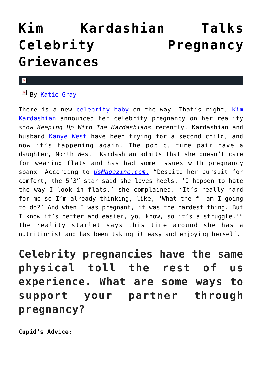## **[Kim Kardashian Talks](https://cupidspulse.com/93650/kim-kardashian-celebrity-pregnancy-grievances/) [Celebrity Pregnancy](https://cupidspulse.com/93650/kim-kardashian-celebrity-pregnancy-grievances/) [Grievances](https://cupidspulse.com/93650/kim-kardashian-celebrity-pregnancy-grievances/)**

## x

## **EX B[y Katie Gray](http://cupidspulse.com/105088/katie-gray/)**

There is a new [celebrity baby](http://cupidspulse.com/celebrity-relationships/celebrity-babies/) on the way! That's right, [Kim](http://cupidspulse.com/86077/kim-kardashian/) [Kardashian](http://cupidspulse.com/86077/kim-kardashian/) announced her celebrity pregnancy on her reality show *Keeping Up With The Kardashians* recently. Kardashian and husband [Kanye West](http://cupidspulse.com/87031/kanye-west/) have been trying for a second child, and now it's happening again. The pop culture pair have a daughter, North West. Kardashian admits that she doesn't care for wearing flats and has had some issues with pregnancy spanx. According to *[UsMagazine.com](http://www.usmagazine.com/celebrity-style/news/kim-kardashian-airs-pregnancy-grievances-flats-pregnancy-spanx-201546)*[,](http://www.usmagazine.com/celebrity-style/news/kim-kardashian-airs-pregnancy-grievances-flats-pregnancy-spanx-201546) "Despite her pursuit for comfort, the 5'3" star said she loves heels. 'I happen to hate the way I look in flats,' she complained. 'It's really hard for me so I'm already thinking, like, 'What the f- am I going to do?' And when I was pregnant, it was the hardest thing. But I know it's better and easier, you know, so it's a struggle.'" The reality starlet says this time around she has a nutritionist and has been taking it easy and enjoying herself.

**Celebrity pregnancies have the same physical toll the rest of us experience. What are some ways to support your partner through pregnancy?**

**Cupid's Advice:**